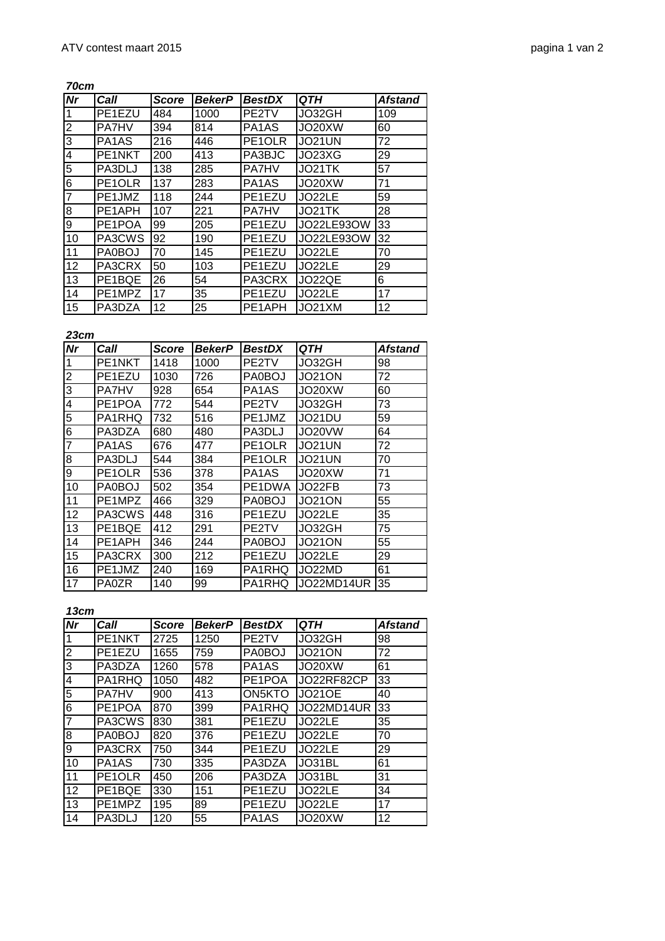**70cm**

| Nr             | Call                           | <b>Score</b> | <b>BekerP</b> | <b>BestDX</b>                  | QTH               | <b>Afstand</b> |
|----------------|--------------------------------|--------------|---------------|--------------------------------|-------------------|----------------|
| 1              | PE1EZU                         | 484          | 1000          | PE2TV                          | JO32GH            | 109            |
| $\overline{2}$ | <b>PA7HV</b>                   | 394          | 814           | PA <sub>1</sub> A <sub>S</sub> | JO20XW            | 60             |
| $\overline{3}$ | PA <sub>1</sub> A <sub>S</sub> | 216          | 446           | PE1OLR                         | JO21UN            | 72             |
| $\overline{4}$ | PE1NKT                         | 200          | 413           | PA3BJC                         | JO23XG            | 29             |
| $\overline{5}$ | PA3DLJ                         | 138          | 285           | <b>PA7HV</b>                   | JO21TK            | 57             |
| $\overline{6}$ | PE1OLR                         | 137          | 283           | PA <sub>1</sub> A <sub>S</sub> | JO20XW            | 71             |
| 7              | PE1JMZ                         | 118          | 244           | PE1EZU                         | JO22LE            | 59             |
| $\infty$       | PE1APH                         | 107          | 221           | <b>PA7HV</b>                   | JO21TK            | 28             |
| 9              | PE1POA                         | 99           | 205           | PE1EZU                         | <b>JO22LE93OW</b> | 33             |
| 10             | PA3CWS                         | 92           | 190           | PE1EZU                         | JO22LE93OW        | 32             |
| 11             | PA0BOJ                         | 70           | 145           | PE1EZU                         | JO22LE            | 70             |
| 12             | PA3CRX                         | 50           | 103           | PE1EZU                         | JO22LE            | 29             |
| 13             | PE1BQE                         | 26           | 54            | PA3CRX                         | JO22QE            | 6              |
| 14             | PE1MPZ                         | 17           | 35            | PE1EZU                         | JO22LE            | 17             |
| 15             | PA3DZA                         | 12           | 25            | PE1APH                         | JO21XM            | 12             |

**23cm**

| <b>Nr</b>               | Call         | <b>Score</b> | <b>BekerP</b> | <b>BestDX</b>                  | QTH           | <b>Afstand</b> |
|-------------------------|--------------|--------------|---------------|--------------------------------|---------------|----------------|
| 1                       | PE1NKT       | 1418         | 1000          | PE2TV                          | JO32GH        | 98             |
| $\overline{2}$          | PE1EZU       | 1030         | 726           | PA0BOJ                         | JO21ON        | 72             |
| 3                       | <b>PA7HV</b> | 928          | 654           | PA1AS                          | JO20XW        | 60             |
| $\overline{\mathbf{4}}$ | PE1POA       | 772          | 544           | PE2TV                          | JO32GH        | 73             |
| 5                       | PA1RHQ       | 732          | 516           | PE1JMZ                         | JO21DU        | 59             |
| 6                       | PA3DZA       | 680          | 480           | PA3DLJ                         | JO20VW        | 64             |
| 7                       | PA1AS        | 676          | 477           | PE1OLR                         | <b>JO21UN</b> | 72             |
| 8                       | PA3DLJ       | 544          | 384           | PE <sub>1</sub> OLR            | JO21UN        | 70             |
| 9                       | PE1OLR       | 536          | 378           | PA <sub>1</sub> A <sub>S</sub> | JO20XW        | 71             |
| 10                      | PA0BOJ       | 502          | 354           | PE1DWA                         | JO22FB        | 73             |
| 11                      | PE1MPZ       | 466          | 329           | <b>PA0BOJ</b>                  | <b>JO21ON</b> | 55             |
| 12                      | PA3CWS       | 448          | 316           | PE1EZU                         | JO22LE        | 35             |
| 13                      | PE1BQE       | 412          | 291           | PE2TV                          | JO32GH        | 75             |
| 14                      | PE1APH       | 346          | 244           | PA0BOJ                         | JO21ON        | 55             |
| 15                      | PA3CRX       | 300          | 212           | PE1EZU                         | JO22LE        | 29             |
| 16                      | PE1JMZ       | 240          | 169           | PA1RHQ                         | JO22MD        | 61             |
| 17                      | <b>PA0ZR</b> | 140          | 99            | PA1RHQ                         | JO22MD14UR    | 35             |

**13cm**

| <b>Nr</b>               | Call                           | <b>Score</b> | <b>BekerP</b> | <b>BestDX</b>                  | QTH           | <b>Afstand</b> |
|-------------------------|--------------------------------|--------------|---------------|--------------------------------|---------------|----------------|
| 1                       | PE1NKT                         | 2725         | 1250          | PE2TV                          | JO32GH        | 98             |
| $\overline{2}$          | PE1EZU                         | 1655         | 759           | <b>PA0BOJ</b>                  | <b>JO21ON</b> | 72             |
| 3                       | PA3DZA                         | 1260         | 578           | PA <sub>1</sub> A <sub>S</sub> | JO20XW        | 61             |
| $\overline{\mathbf{4}}$ | PA1RHQ                         | 1050         | 482           | PE1POA                         | JO22RF82CP    | 33             |
| 5                       | <b>PA7HV</b>                   | 900          | 413           | ON5KTO                         | <b>JO21OE</b> | 40             |
| 6                       | PE1POA                         | 870          | 399           | PA1RHQ                         | JO22MD14UR    | 33             |
| $\overline{7}$          | PA3CWS                         | 830          | 381           | PE1EZU                         | JO22LE        | 35             |
| 8                       | PA0BOJ                         | 820          | 376           | PE1EZU                         | JO22LE        | 70             |
| 9                       | PA3CRX                         | 750          | 344           | PE1EZU                         | JO22LE        | 29             |
| 10                      | PA <sub>1</sub> A <sub>S</sub> | 730          | 335           | PA3DZA                         | JO31BL        | 61             |
| 11                      | PE1OLR                         | 450          | 206           | PA3DZA                         | JO31BL        | 31             |
| 12                      | PE1BQE                         | 330          | 151           | PE1EZU                         | JO22LE        | 34             |
| 13                      | PE1MPZ                         | 195          | 89            | PE1EZU                         | JO22LE        | 17             |
| 14                      | PA3DLJ                         | 120          | 55            | PA <sub>1</sub> A <sub>S</sub> | JO20XW        | 12             |